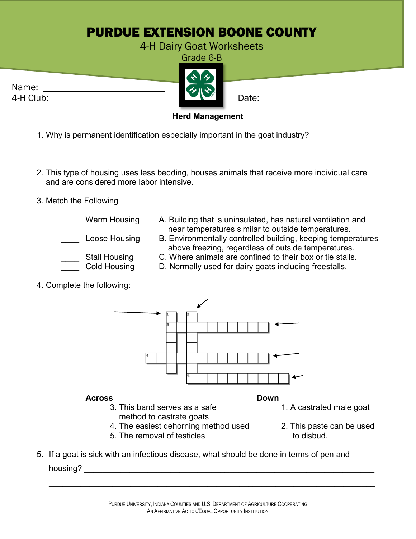## PURDUE EXTENSION BOONE COUNTY

## 4-H Dairy Goat Worksheets Grade 6-B

Name: 4-H Club: Date: Date:

## **Herd Management**

\_\_\_\_\_\_\_\_\_\_\_\_\_\_\_\_\_\_\_\_\_\_\_\_\_\_\_\_\_\_\_\_\_\_\_\_\_\_\_\_\_\_\_\_\_\_\_\_\_\_\_\_\_\_\_\_\_\_\_\_\_\_\_\_\_\_\_\_\_\_\_\_\_

- 1. Why is permanent identification especially important in the goat industry?
- 2. This type of housing uses less bedding, houses animals that receive more individual care and are considered more labor intensive. **Example 20 and 20 and 20 and 20 and 20 and 20 and 20 and 20 and 20 and 20 and 20 and 20 and 20 and 20 and 20 and 20 and 20 and 20 and 20 and 20 and 20 and 20 and 20 and 20 and 20 a**
- 3. Match the Following
	-
- Warm Housing A. Building that is uninsulated, has natural ventilation and near temperatures similar to outside temperatures.
	- Loose Housing B. Environmentally controlled building, keeping temperatures above freezing, regardless of outside temperatures.
		- \_\_\_\_ Stall Housing C. Where animals are confined to their box or tie stalls.
			- D. Normally used for dairy goats including freestalls.
- 4. Complete the following:

**Across Down** 3. This band serves as a safe 1. A castrated male goat

- method to castrate goats 4. The easiest dehorning method used 2. This paste can be used
- 

5. The removal of testicles to disbud.

- 
- 
- 5. If a goat is sick with an infectious disease, what should be done in terms of pen and housing? \_\_\_\_\_\_\_\_\_\_\_\_\_\_\_\_\_\_\_\_\_\_\_\_\_\_\_\_\_\_\_\_\_\_\_\_\_\_\_\_\_\_\_\_\_\_\_\_\_\_\_\_\_\_\_\_\_\_\_\_\_\_\_\_

\_\_\_\_\_\_\_\_\_\_\_\_\_\_\_\_\_\_\_\_\_\_\_\_\_\_\_\_\_\_\_\_\_\_\_\_\_\_\_\_\_\_\_\_\_\_\_\_\_\_\_\_\_\_\_\_\_\_\_\_\_\_\_\_\_\_\_\_\_\_\_\_